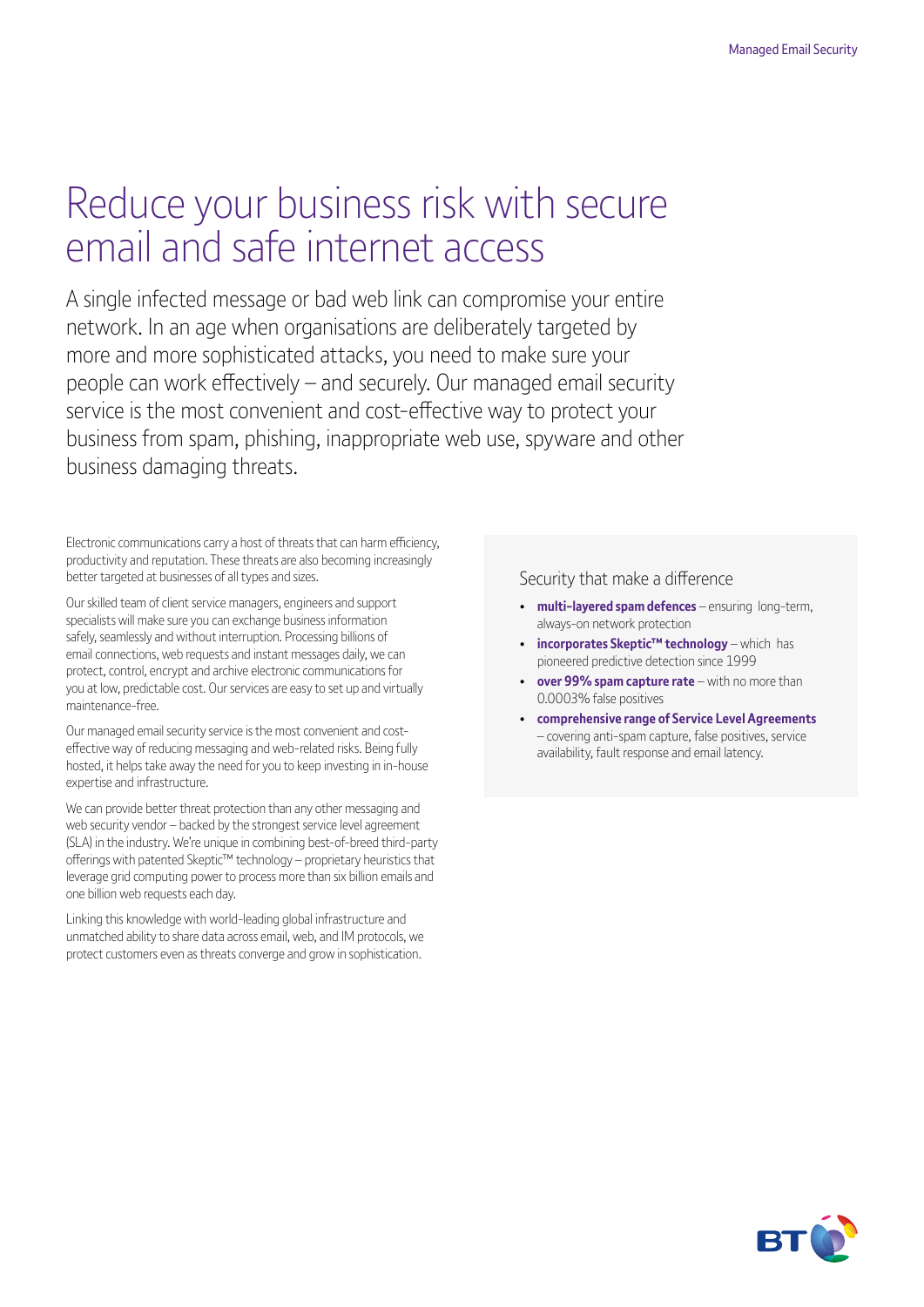# Reduce your business risk with secure email and safe internet access

A single infected message or bad web link can compromise your entire network. In an age when organisations are deliberately targeted by more and more sophisticated attacks, you need to make sure your people can work effectively – and securely. Our managed email security service is the most convenient and cost-effective way to protect your business from spam, phishing, inappropriate web use, spyware and other business damaging threats.

Electronic communications carry a host of threats that can harm efficiency, productivity and reputation. These threats are also becoming increasingly better targeted at businesses of all types and sizes.

Our skilled team of client service managers, engineers and support specialists will make sure you can exchange business information safely, seamlessly and without interruption. Processing billions of email connections, web requests and instant messages daily, we can protect, control, encrypt and archive electronic communications for you at low, predictable cost. Our services are easy to set up and virtually maintenance-free.

Our managed email security service is the most convenient and costeffective way of reducing messaging and web-related risks. Being fully hosted, it helps take away the need for you to keep investing in in-house expertise and infrastructure.

We can provide better threat protection than any other messaging and web security vendor – backed by the strongest service level agreement (SLA) in the industry. We're unique in combining best-of-breed third-party offerings with patented Skeptic™ technology – proprietary heuristics that leverage grid computing power to process more than six billion emails and one billion web requests each day.

Linking this knowledge with world-leading global infrastructure and unmatched ability to share data across email, web, and IM protocols, we protect customers even as threats converge and grow in sophistication.

### Security that make a difference

- **multi-layered spam defences** ensuring long-term, always-on network protection
- **incorporates Skeptic™ technology** which has pioneered predictive detection since 1999
- **over 99% spam capture rate** with no more than 0.0003% false positives
- **comprehensive range of Service Level Agreements** – covering anti-spam capture, false positives, service availability, fault response and email latency.